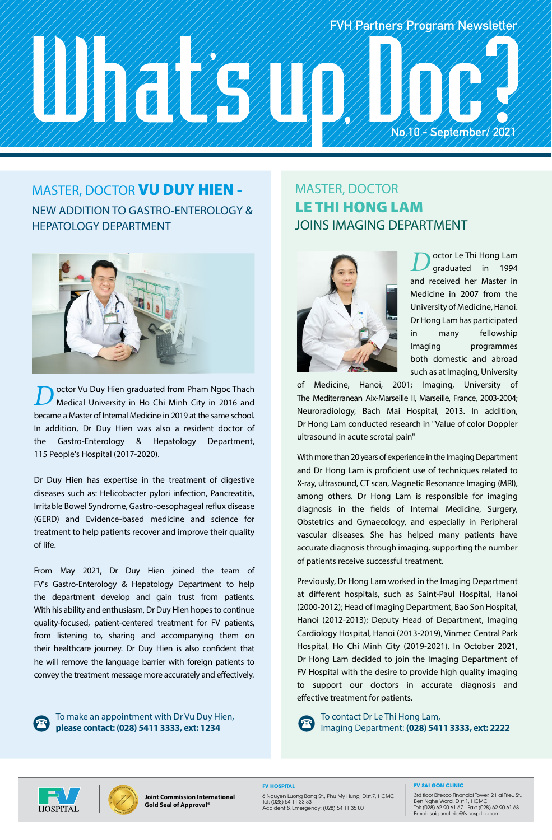# **FVH Partners Program Newsletter No.10 - September/ 2021**

# MASTER, DOCTOR VU DUY HIEN -

#### NEW ADDITION TO GASTRO-ENTEROLOGY & HEPATOLOGY DEPARTMENT



**D**octor Vu Duy Hien graduated from Pham Ngoc Thach Medical University in Ho Chi Minh City in 2016 and became a Master of Internal Medicine in 2019 at the same school. In addition, Dr Duy Hien was also a resident doctor of the Gastro-Enterology & Hepatology Department, 115 People's Hospital (2017-2020).

Dr Duy Hien has expertise in the treatment of digestive diseases such as: Helicobacter pylori infection, Pancreatitis, Irritable Bowel Syndrome, Gastro-oesophageal reflux disease (GERD) and Evidence-based medicine and science for treatment to help patients recover and improve their quality of life.

From May 2021, Dr Duy Hien joined the team of FV's Gastro-Enterology & Hepatology Department to help the department develop and gain trust from patients. With his ability and enthusiasm, Dr Duy Hien hopes to continue quality-focused, patient-centered treatment for FV patients, from listening to, sharing and accompanying them on their healthcare journey. Dr Duy Hien is also confident that he will remove the language barrier with foreign patients to convey the treatment message more accurately and effectively.



To make an appointment with Dr Vu Duy Hien, **please contact: (028) 5411 3333, ext: 1234**

#### MASTER, DOCTOR LE THI HONG LAM JOINS IMAGING DEPARTMENT



octor Le Thi Hong Lam graduated in 1994 and received her Master in Medicine in 2007 from the University of Medicine, Hanoi. Dr Hong Lam has participated in many fellowship Imaging programmes both domestic and abroad such as at Imaging, University

of Medicine, Hanoi, 2001; Imaging, University of The Mediterranean Aix-Marseille II, Marseille, France, 2003-2004; Neuroradiology, Bach Mai Hospital, 2013. In addition, Dr Hong Lam conducted research in "Value of color Doppler ultrasound in acute scrotal pain"

With more than 20 years of experience in the Imaging Department and Dr Hong Lam is proficient use of techniques related to X-ray, ultrasound, CT scan, Magnetic Resonance Imaging (MRI), among others. Dr Hong Lam is responsible for imaging diagnosis in the fields of Internal Medicine, Surgery, Obstetrics and Gynaecology, and especially in Peripheral vascular diseases. She has helped many patients have accurate diagnosis through imaging, supporting the number of patients receive successful treatment.

Previously, Dr Hong Lam worked in the Imaging Department at different hospitals, such as Saint-Paul Hospital, Hanoi (2000-2012); Head of Imaging Department, Bao Son Hospital, Hanoi (2012-2013); Deputy Head of Department, Imaging Cardiology Hospital, Hanoi (2013-2019), Vinmec Central Park Hospital, Ho Chi Minh City (2019-2021). In October 2021, Dr Hong Lam decided to join the Imaging Department of FV Hospital with the desire to provide high quality imaging to support our doctors in accurate diagnosis and effective treatment for patients.

To contact Dr Le Thi Hong Lam, Imaging Department: **(028) 5411 3333, ext: 2222**





**Joint Commission International Gold Seal of Approval®**

**FV HOSPITAL**

6 Nguyen Luong Bang St., Phu My Hung, Dist.7, HCMC Tel: (028) 54 11 33 33 Accident & Emergency: (028) 54 11 35 00

**FV SAI GON CLINIC**

3rd floor Bitexco Financial Tower, 2 Hai Trieu St., Ben Nghe Ward, Dist.1, HCMC Tel: (028) 62 90 61 67 - Fax: (028) 62 90 61 68 Email: saigonclinic@fvhospital.com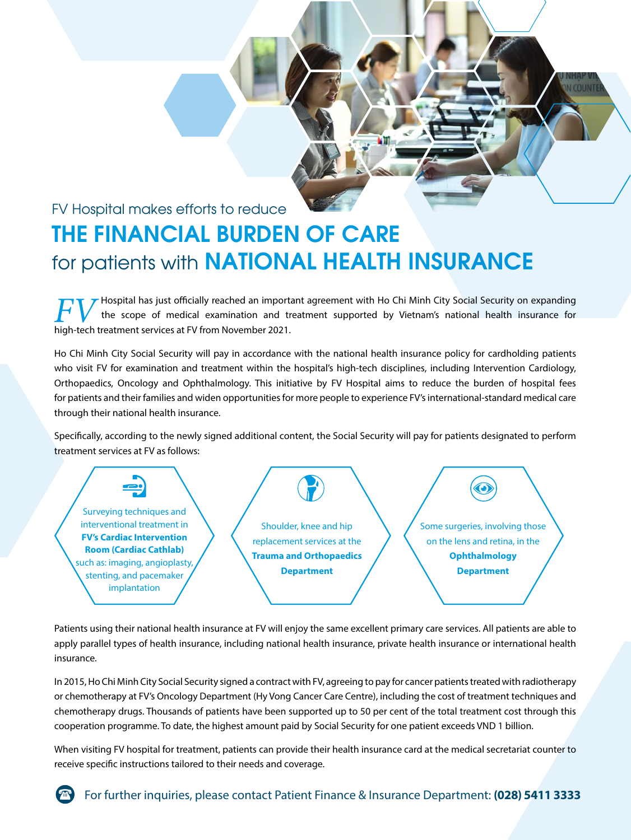### FV Hospital makes efforts to reduce **THE FINANCIAL BURDEN OF CARE** for patients with **NATIONAL HEALTH INSURANCE**

Hospital has just officially reached an important agreement with Ho Chi Minh City Social Security on expanding the scope of medical examination and treatment supported by Vietnam's national health insurance for **high-tech treatment services at FV from November 2021.**<br> **high-tech treatment services at FV from November 2021.** 

**COUNTE** 

Ho Chi Minh City Social Security will pay in accordance with the national health insurance policy for cardholding patients who visit FV for examination and treatment within the hospital's high-tech disciplines, including Intervention Cardiology, Orthopaedics, Oncology and Ophthalmology. This initiative by FV Hospital aims to reduce the burden of hospital fees for patients and their families and widen opportunities for more people to experience FV's international-standard medical care through their national health insurance.

Specifically, according to the newly signed additional content, the Social Security will pay for patients designated to perform treatment services at FV as follows:



Patients using their national health insurance at FV will enjoy the same excellent primary care services. All patients are able to apply parallel types of health insurance, including national health insurance, private health insurance or international health insurance.

In 2015, Ho Chi Minh City Social Security signed a contract with FV, agreeing to pay for cancer patients treated with radiotherapy or chemotherapy at FV's Oncology Department (Hy Vong Cancer Care Centre), including the cost of treatment techniques and chemotherapy drugs. Thousands of patients have been supported up to 50 per cent of the total treatment cost through this cooperation programme. To date, the highest amount paid by Social Security for one patient exceeds VND 1 billion.

When visiting FV hospital for treatment, patients can provide their health insurance card at the medical secretariat counter to receive specific instructions tailored to their needs and coverage.